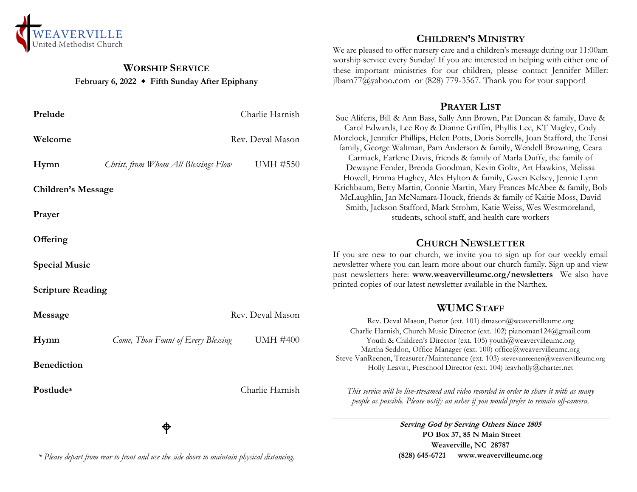

# **WORSHIP SERVICE February 6, 2022 Fifth Sunday After Epiphany**

| Prelude                   |                                      | Charlie Harnish  | Sue A                       |
|---------------------------|--------------------------------------|------------------|-----------------------------|
| Welcome                   |                                      | Rev. Deval Mason | Car<br>Morelo<br>famil      |
| Hymn                      | Christ, from Whom All Blessings Flow | <b>UMH #550</b>  | Ca<br>De                    |
| <b>Children's Message</b> |                                      |                  | Hoy<br>Krichl<br>McL        |
| Prayer                    |                                      |                  | Sm                          |
| Offering                  |                                      |                  |                             |
| <b>Special Music</b>      |                                      |                  | If you<br>newsle<br>past no |
| <b>Scripture Reading</b>  |                                      |                  | printed                     |
| Message                   | Rev. Deval Mason                     |                  |                             |
| Hymn                      | Come, Thou Fount of Every Blessing   | <b>UMH #400</b>  | $\mathcal{C}$               |
| <b>Benediction</b>        |                                      |                  | Steve <sup>'</sup>          |
| Postlude*                 |                                      | Charlie Harnish  | Th<br>$\overline{p}$        |
|                           |                                      |                  |                             |

φ

*\* Please depart from rear to front and use the side doors to maintain physical distancing.*

# **CHILDREN'S MINISTRY**

We are pleased to offer nursery care and a children's message during our 11:00am worship service every Sunday! If you are interested in helping with either one of these important ministries for our children, please contact Jennifer Miller: jlbarn $77$ @yahoo.com or (828) 779-3567. Thank you for your support!

#### **PRAYER LIST**

Sue Aliferis, Bill & Ann Bass, Sally Ann Brown, Pat Duncan & family, Dave & rol Edwards, Lee Roy & Dianne Griffin, Phyllis Lee, KT Magley, Cody ock, Jennifer Phillips, Helen Potts, Doris Sorrells, Joan Stafford, the Tensi ly, George Waltman, Pam Anderson & family, Wendell Browning, Ceara armack, Earlene Davis, friends & family of Marla Duffy, the family of ewayne Fender, Brenda Goodman, Kevin Goltz, Art Hawkins, Melissa well, Emma Hughey, Alex Hylton & family, Gwen Kelsey, Jennie Lynn baum, Betty Martin, Connie Martin, Mary Frances McAbee & family, Bob aughlin, Jan McNamara-Houck, friends & family of Kaitie Moss, David nith, Jackson Stafford, Mark Strohm, Katie Weiss, Wes Westmoreland, students, school staff, and health care workers

### **CHURCH NEWSLETTER**

are new to our church, we invite you to sign up for our weekly email etter where you can learn more about our church family. Sign up and view past newsletters here: **www.weavervilleumc.org/newsletters** We also have d copies of our latest newsletter available in the Narthex.

### **WUMC STAFF**

Rev. Deval Mason, Pastor (ext. 101) dmason@weavervilleumc.org harlie Harnish, Church Music Director (ext. 102) pianoman124@gmail.com Youth & Children's Director (ext. 105) youth@weavervilleumc.org Martha Seddon, Office Manager (ext. 100) office@weavervilleumc.org VanReenen, Treasurer/Maintenance (ext. 103) stevevanreenen@weavervilleumc.org Holly Leavitt, Preschool Director (ext. 104) leavholly@charter.net

*This service will be live-streamed and video recorded in order to share it with as many people as possible. Please notify an usher if you would prefer to remain off-camera.*

> **Serving God by Serving Others Since 1805 PO Box 37, 85 N Main Street Weaverville, NC 28787 (828) 645-6721 [www.weavervilleumc.org](http://www.weavervilleumc.org/)**